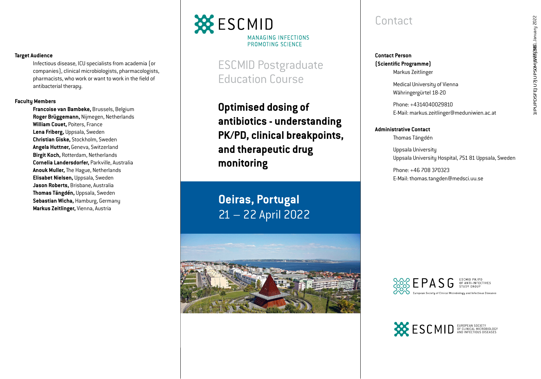# LIPUPDSFEJU7JUPS0MJWFJGEESCMID, January 2022 © ESCMID, January 2022 1IPUPDSFEJU7JUPS0MJWFJSB

#### **Target Audience**

Infectious disease, ICU specialists from academia (or companies), clinical microbiologists, pharmacologists, pharmacists, who work or want to work in the field of antibacterial therapy.

#### **Faculty Members**

**Francoise van Bambeke,** Brussels, Belgium **Roger Brüggemann,** Nijmegen, Netherlands **William Couet,** Poiters, France **Lena Friberg,** Uppsala, Sweden **Christian Giske,** Stockholm, Sweden **Angela Huttner,** Geneva, Switzerland **Birgit Koch,** Rotterdam, Netherlands **Cornelia Landersdorfer,** Parkville, Australia **Anouk Muller,** The Hague, Netherlands **Elisabet Nielsen,** Uppsala, Sweden **Jason Roberts,** Brisbane, Australia **Thomas Tängdén,** Uppsala, Sweden **Sebastian Wicha,** Hamburg, Germany **Markus Zeitlinger,** Vienna, Austria

## **XX** ESCMID MANAGING INFECTIONS PROMOTING SCIENCE

ESCMID Postgraduate Education Course

**Optimised dosing of antibiotics - understanding PK/PD, clinical breakpoints, and therapeutic drug monitoring**

**Oeiras, Portugal** 21 – 22 April 2022

## **Contact**

**Contact Person (Scientific Programme)** Markus Zeitlinger

> Medical University of Vienna Währingergürtel 18-20

Phone: +4314040029810 E-Mail: markus.zeitlinger@meduniwien.ac.at

**Administrative Contact** Thomas Tängdén

> Uppsala University Uppsala University Hospital, 751 81 Uppsala, Sweden

Phone: +46 708 370323 E-Mail: thomas.tangden@medsci.uu.se